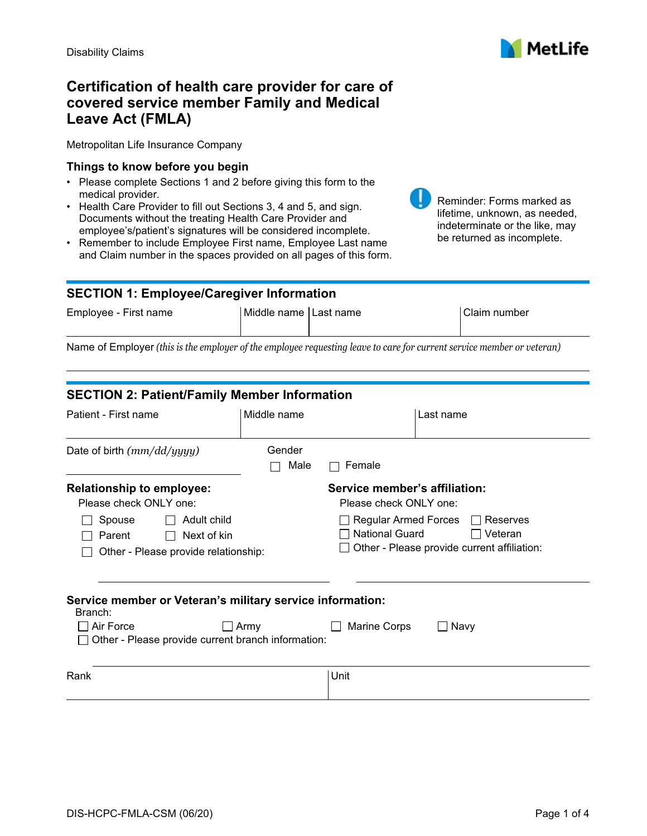

# **Certification of health care provider for care of covered service member Family and Medical Leave Act (FMLA)**

Metropolitan Life Insurance Company

#### **Things to know before you begin**

- Please complete Sections 1 and 2 before giving this form to the medical provider.
- Health Care Provider to fill out Sections 3, 4 and 5, and sign. Documents without the treating Health Care Provider and employee's/patient's signatures will be considered incomplete.
- Remember to include Employee First name, Employee Last name and Claim number in the spaces provided on all pages of this form.



## **SECTION 1: Employee/Caregiver Information**

| Employee - First name | Middle name Last name | Claim number |
|-----------------------|-----------------------|--------------|
|                       |                       |              |

Name of Employer *(this is the employer of the employee requesting leave to care for current service member or veteran)*

| <b>SECTION 2: Patient/Family Member Information</b>                                    |                |                                                                                                                                   |           |
|----------------------------------------------------------------------------------------|----------------|-----------------------------------------------------------------------------------------------------------------------------------|-----------|
| Patient - First name                                                                   | Middle name    |                                                                                                                                   | Last name |
| Date of birth $(mm/dd/yyyy)$                                                           | Gender<br>Male | Female                                                                                                                            |           |
| <b>Relationship to employee:</b>                                                       |                | Service member's affiliation:                                                                                                     |           |
| Please check ONLY one:                                                                 |                | Please check ONLY one:                                                                                                            |           |
| Adult child<br>Spouse<br>Next of kin<br>Parent<br>Other - Please provide relationship: |                | <b>Regular Armed Forces</b><br>Reserves<br><b>National Guard</b><br>$\Box$ Veteran<br>Other - Please provide current affiliation: |           |
| Service member or Veteran's military service information:<br>Branch:                   |                |                                                                                                                                   |           |
| Air Force                                                                              | Army           | Marine Corps                                                                                                                      | Navy      |
| Other - Please provide current branch information:                                     |                |                                                                                                                                   |           |
|                                                                                        |                |                                                                                                                                   |           |
| Rank                                                                                   |                | Unit                                                                                                                              |           |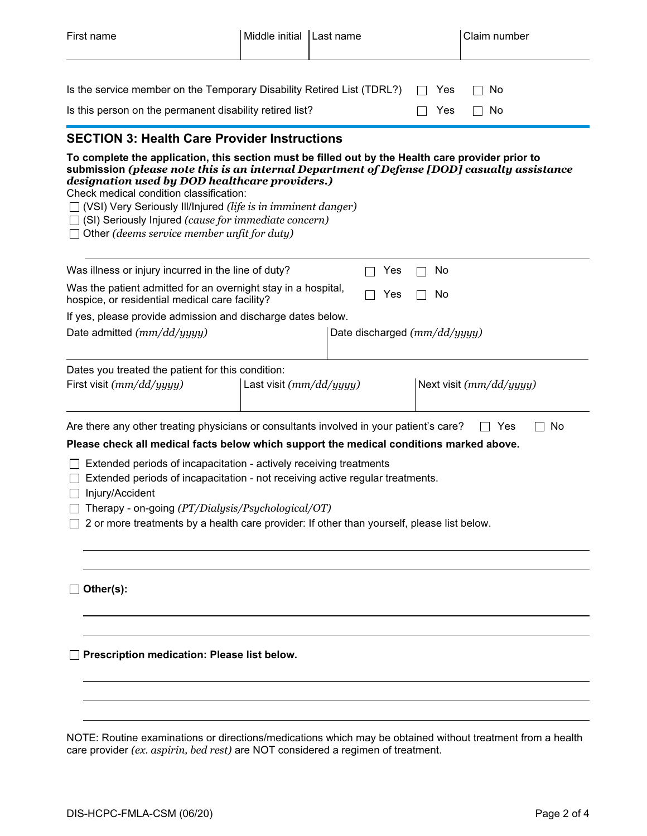| First name                                                                                                                                                                                                                                                                                                                                                                                                                                                                          | Middle initial            | Last name                      | Claim number            |
|-------------------------------------------------------------------------------------------------------------------------------------------------------------------------------------------------------------------------------------------------------------------------------------------------------------------------------------------------------------------------------------------------------------------------------------------------------------------------------------|---------------------------|--------------------------------|-------------------------|
| Is the service member on the Temporary Disability Retired List (TDRL?)<br>Is this person on the permanent disability retired list?                                                                                                                                                                                                                                                                                                                                                  |                           |                                | No<br>Yes<br>Yes<br>No  |
| <b>SECTION 3: Health Care Provider Instructions</b>                                                                                                                                                                                                                                                                                                                                                                                                                                 |                           |                                |                         |
| To complete the application, this section must be filled out by the Health care provider prior to<br>submission (please note this is an internal Department of Defense [DOD] casualty assistance<br>designation used by DOD healthcare providers.)<br>Check medical condition classification:<br>$\Box$ (VSI) Very Seriously III/Injured (life is in imminent danger)<br>$\Box$ (SI) Seriously Injured (cause for immediate concern)<br>Other (deems service member unfit for duty) |                           |                                |                         |
| Was illness or injury incurred in the line of duty?                                                                                                                                                                                                                                                                                                                                                                                                                                 |                           | Yes                            | No                      |
| Was the patient admitted for an overnight stay in a hospital,<br>hospice, or residential medical care facility?                                                                                                                                                                                                                                                                                                                                                                     |                           | Yes                            | No                      |
| If yes, please provide admission and discharge dates below.                                                                                                                                                                                                                                                                                                                                                                                                                         |                           |                                |                         |
| Date admitted $(mm/dd/yyyy)$                                                                                                                                                                                                                                                                                                                                                                                                                                                        |                           | Date discharged $(mm/dd/yyyy)$ |                         |
| Dates you treated the patient for this condition:<br>First visit $(mm/dd/yyyy)$                                                                                                                                                                                                                                                                                                                                                                                                     | Last visit $(mm/dd/yyyy)$ |                                | Next visit (mm/dd/yyyy) |
| Are there any other treating physicians or consultants involved in your patient's care?                                                                                                                                                                                                                                                                                                                                                                                             |                           |                                | No<br>Yes               |
| Please check all medical facts below which support the medical conditions marked above.<br>Extended periods of incapacitation - actively receiving treatments<br>Extended periods of incapacitation - not receiving active regular treatments.<br>$\Box$ Injury/Accident<br>Therapy - on-going (PT/Dialysis/Psychological/OT)<br>2 or more treatments by a health care provider: If other than yourself, please list below.                                                         |                           |                                |                         |
| Other(s):                                                                                                                                                                                                                                                                                                                                                                                                                                                                           |                           |                                |                         |
| Prescription medication: Please list below.                                                                                                                                                                                                                                                                                                                                                                                                                                         |                           |                                |                         |
| NOTE: Routine examinations or directions/medications which may be obtained without treatment from a health                                                                                                                                                                                                                                                                                                                                                                          |                           |                                |                         |

NOTE: Routine examinations or directions/medications which may be obtained without treatment from a health care provider *(ex. aspirin, bed rest)* are NOT considered a regimen of treatment.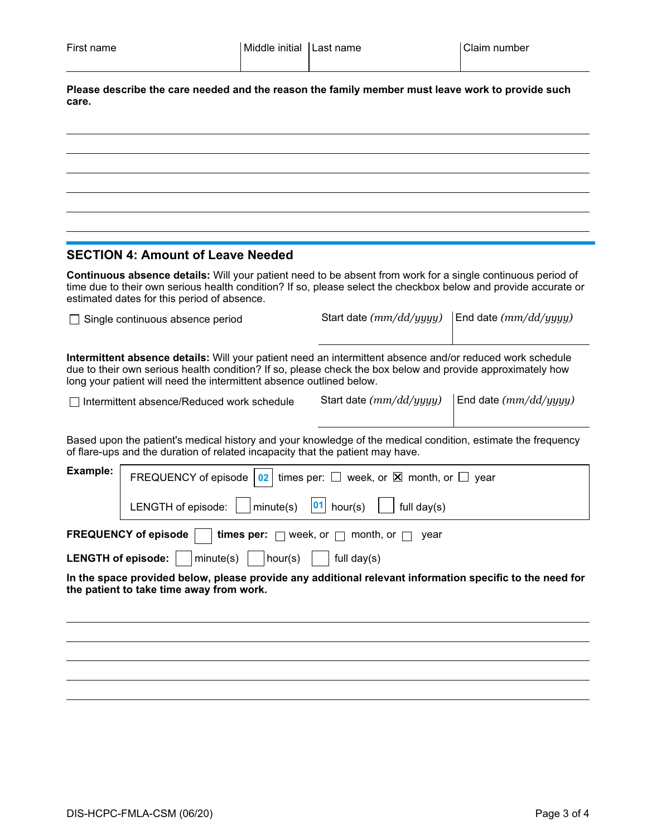**Please describe the care needed and the reason the family member must leave work to provide such care.**

#### **SECTION 4: Amount of Leave Needed**

**Continuous absence details:** Will your patient need to be absent from work for a single continuous period of time due to their own serious health condition? If so, please select the checkbox below and provide accurate or estimated dates for this period of absence.

□ Single continuous absence period Start date  $(mm/dd/yyyy)$  End date  $(mm/dd/yyyy)$ 

**Intermittent absence details:** Will your patient need an intermittent absence and/or reduced work schedule due to their own serious health condition? If so, please check the box below and provide approximately how long your patient will need the intermittent absence outlined below.

Intermittent absence/Reduced work schedule Start date *(mm/dd/yyyy)* End date *(mm/dd/yyyy)*

Based upon the patient's medical history and your knowledge of the medical condition, estimate the frequency of flare-ups and the duration of related incapacity that the patient may have.

| Example:                                                                                          | FREQUENCY of episode $\boxed{02}$ times per: $\Box$ week, or $\boxtimes$ month, or $\Box$ year          |  |
|---------------------------------------------------------------------------------------------------|---------------------------------------------------------------------------------------------------------|--|
|                                                                                                   | LENGTH of episode: $\Box$ minute(s) $\Box$ hour(s) $\Box$ full day(s)                                   |  |
| <b>FREQUENCY of episode</b> $\Box$ <b>times per:</b> $\Box$ week, or $\Box$ month, or $\Box$ year |                                                                                                         |  |
|                                                                                                   | <b>LENGTH of episode:</b> $\vert$ $\vert$ minute(s) $\vert$ $\vert$ hour(s) $\vert$ $\vert$ full day(s) |  |

**In the space provided below, please provide any additional relevant information specific to the need for the patient to take time away from work.**